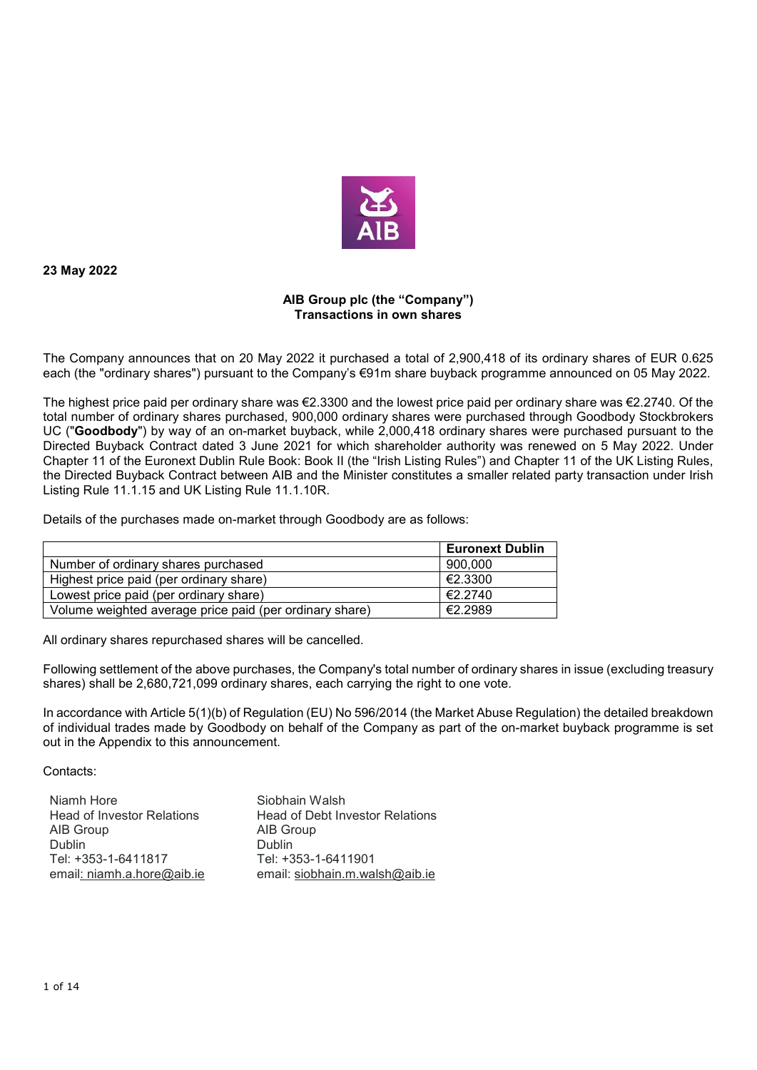

**23 May 2022** 

## **AIB Group plc (the "Company") Transactions in own shares**

The Company announces that on 20 May 2022 it purchased a total of 2,900,418 of its ordinary shares of EUR 0.625 each (the "ordinary shares") pursuant to the Company's €91m share buyback programme announced on 05 May 2022.

The highest price paid per ordinary share was €2.3300 and the lowest price paid per ordinary share was €2.2740. Of the total number of ordinary shares purchased, 900,000 ordinary shares were purchased through Goodbody Stockbrokers UC ("**Goodbody**") by way of an on-market buyback, while 2,000,418 ordinary shares were purchased pursuant to the Directed Buyback Contract dated 3 June 2021 for which shareholder authority was renewed on 5 May 2022. Under Chapter 11 of the Euronext Dublin Rule Book: Book II (the "Irish Listing Rules") and Chapter 11 of the UK Listing Rules, the Directed Buyback Contract between AIB and the Minister constitutes a smaller related party transaction under Irish Listing Rule 11.1.15 and UK Listing Rule 11.1.10R.

Details of the purchases made on-market through Goodbody are as follows:

|                                                         | <b>Euronext Dublin</b> |
|---------------------------------------------------------|------------------------|
| Number of ordinary shares purchased                     | 900.000                |
| Highest price paid (per ordinary share)                 | €2.3300                |
| Lowest price paid (per ordinary share)                  | €2.2740                |
| Volume weighted average price paid (per ordinary share) | €2.2989                |

All ordinary shares repurchased shares will be cancelled.

Following settlement of the above purchases, the Company's total number of ordinary shares in issue (excluding treasury shares) shall be 2,680,721,099 ordinary shares, each carrying the right to one vote.

In accordance with Article 5(1)(b) of Regulation (EU) No 596/2014 (the Market Abuse Regulation) the detailed breakdown of individual trades made by Goodbody on behalf of the Company as part of the on-market buyback programme is set out in the Appendix to this announcement.

Contacts:

| Niamh Hore                        | Siobhain Walsh                  |
|-----------------------------------|---------------------------------|
| <b>Head of Investor Relations</b> | Head of Debt Investor Relations |
| AIB Group                         | AIB Group                       |
| <b>Dublin</b>                     | <b>Dublin</b>                   |
| Tel: +353-1-6411817               | Tel: +353-1-6411901             |
| email: niamh.a.hore@aib.ie        | email: siobhain.m.walsh@aib.ie  |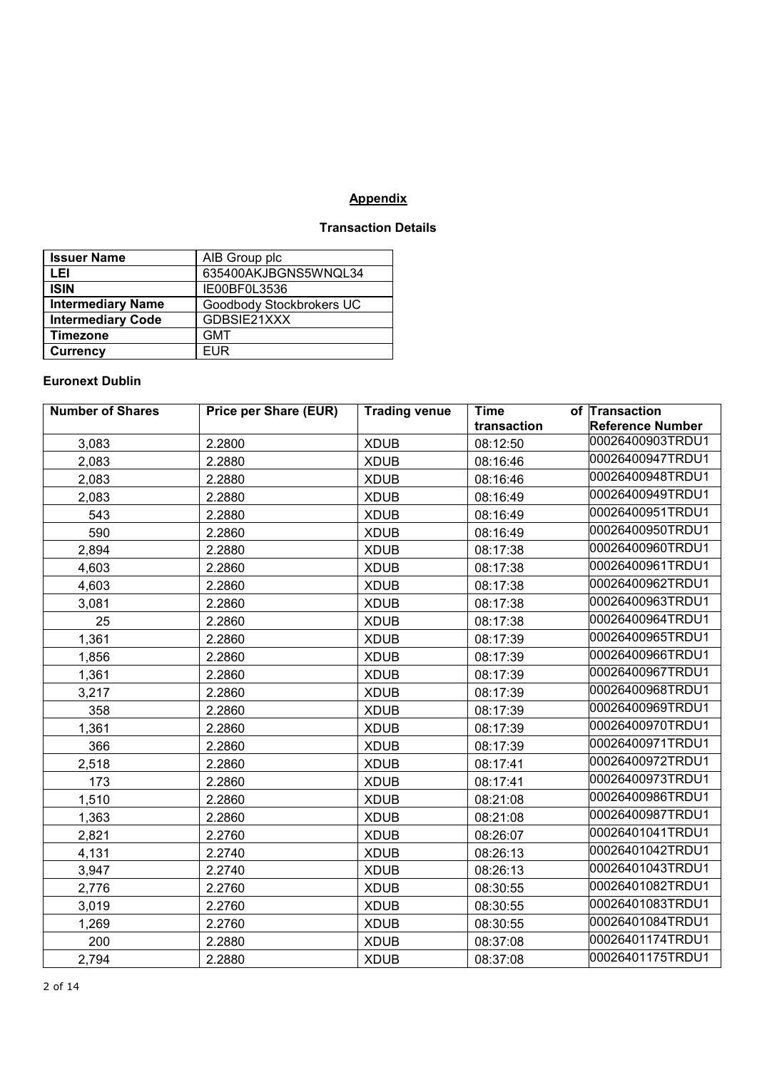## **Appendix**

## **Transaction Details**

| <b>Issuer Name</b>       | AIB Group plc            |
|--------------------------|--------------------------|
| LEI                      | 635400AKJBGNS5WNQL34     |
| <b>ISIN</b>              | IE00BF0L3536             |
| <b>Intermediary Name</b> | Goodbody Stockbrokers UC |
| <b>Intermediary Code</b> | GDBSIE21XXX              |
| <b>Timezone</b>          | <b>GMT</b>               |
| <b>Currency</b>          | <b>EUR</b>               |

## **Euronext Dublin**

| <b>Number of Shares</b> | <b>Price per Share (EUR)</b> | <b>Trading venue</b> | <b>Time</b> | of Transaction          |
|-------------------------|------------------------------|----------------------|-------------|-------------------------|
|                         |                              |                      | transaction | <b>Reference Number</b> |
| 3,083                   | 2.2800                       | <b>XDUB</b>          | 08:12:50    | 00026400903TRDU1        |
| 2,083                   | 2.2880                       | <b>XDUB</b>          | 08:16:46    | 00026400947TRDU1        |
| 2,083                   | 2.2880                       | <b>XDUB</b>          | 08:16:46    | 00026400948TRDU1        |
| 2,083                   | 2.2880                       | <b>XDUB</b>          | 08:16:49    | 00026400949TRDU1        |
| 543                     | 2.2880                       | <b>XDUB</b>          | 08:16:49    | 00026400951TRDU1        |
| 590                     | 2.2860                       | <b>XDUB</b>          | 08:16:49    | 00026400950TRDU1        |
| 2,894                   | 2.2880                       | <b>XDUB</b>          | 08:17:38    | 00026400960TRDU1        |
| 4,603                   | 2.2860                       | <b>XDUB</b>          | 08:17:38    | 00026400961TRDU1        |
| 4,603                   | 2.2860                       | <b>XDUB</b>          | 08:17:38    | 00026400962TRDU1        |
| 3,081                   | 2.2860                       | <b>XDUB</b>          | 08:17:38    | 00026400963TRDU1        |
| 25                      | 2.2860                       | <b>XDUB</b>          | 08:17:38    | 00026400964TRDU1        |
| 1,361                   | 2.2860                       | <b>XDUB</b>          | 08:17:39    | 00026400965TRDU1        |
| 1,856                   | 2.2860                       | <b>XDUB</b>          | 08:17:39    | 00026400966TRDU1        |
| 1,361                   | 2.2860                       | <b>XDUB</b>          | 08:17:39    | 00026400967TRDU1        |
| 3,217                   | 2.2860                       | <b>XDUB</b>          | 08:17:39    | 00026400968TRDU1        |
| 358                     | 2.2860                       | <b>XDUB</b>          | 08:17:39    | 00026400969TRDU1        |
| 1,361                   | 2.2860                       | <b>XDUB</b>          | 08:17:39    | 00026400970TRDU1        |
| 366                     | 2.2860                       | <b>XDUB</b>          | 08:17:39    | 00026400971TRDU1        |
| 2,518                   | 2.2860                       | <b>XDUB</b>          | 08:17:41    | 00026400972TRDU1        |
| 173                     | 2.2860                       | <b>XDUB</b>          | 08:17:41    | 00026400973TRDU1        |
| 1,510                   | 2.2860                       | <b>XDUB</b>          | 08:21:08    | 00026400986TRDU1        |
| 1,363                   | 2.2860                       | <b>XDUB</b>          | 08:21:08    | 00026400987TRDU1        |
| 2,821                   | 2.2760                       | <b>XDUB</b>          | 08:26:07    | 00026401041TRDU1        |
| 4,131                   | 2.2740                       | <b>XDUB</b>          | 08:26:13    | 00026401042TRDU1        |
| 3,947                   | 2.2740                       | <b>XDUB</b>          | 08:26:13    | 00026401043TRDU1        |
| 2,776                   | 2.2760                       | <b>XDUB</b>          | 08:30:55    | 00026401082TRDU1        |
| 3,019                   | 2.2760                       | <b>XDUB</b>          | 08:30:55    | 00026401083TRDU1        |
| 1,269                   | 2.2760                       | <b>XDUB</b>          | 08:30:55    | 00026401084TRDU1        |
| 200                     | 2.2880                       | <b>XDUB</b>          | 08:37:08    | 00026401174TRDU1        |
| 2,794                   | 2.2880                       | <b>XDUB</b>          | 08:37:08    | 00026401175TRDU1        |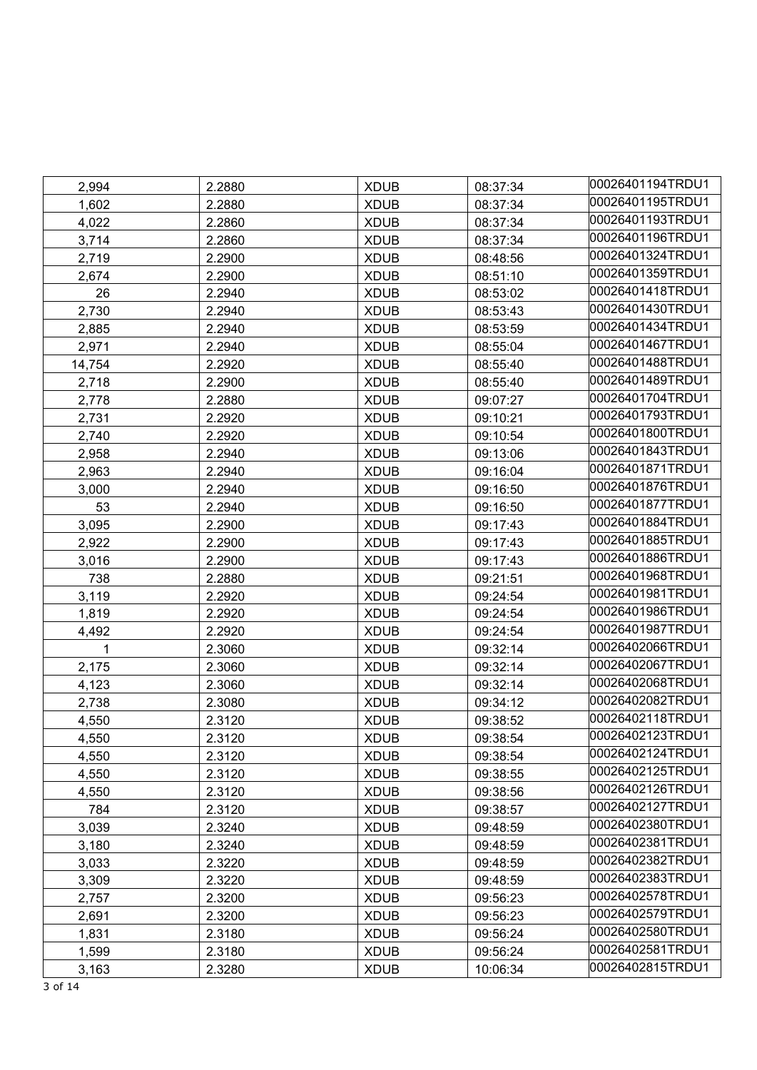| 2,994  | 2.2880 | <b>XDUB</b> | 08:37:34 | 00026401194TRDU1 |
|--------|--------|-------------|----------|------------------|
| 1,602  | 2.2880 | <b>XDUB</b> | 08:37:34 | 00026401195TRDU1 |
| 4,022  | 2.2860 | <b>XDUB</b> | 08:37:34 | 00026401193TRDU1 |
| 3,714  | 2.2860 | <b>XDUB</b> | 08:37:34 | 00026401196TRDU1 |
| 2,719  | 2.2900 | <b>XDUB</b> | 08:48:56 | 00026401324TRDU1 |
| 2,674  | 2.2900 | <b>XDUB</b> | 08:51:10 | 00026401359TRDU1 |
| 26     | 2.2940 | <b>XDUB</b> | 08:53:02 | 00026401418TRDU1 |
| 2,730  | 2.2940 | <b>XDUB</b> | 08:53:43 | 00026401430TRDU1 |
| 2,885  | 2.2940 | <b>XDUB</b> | 08:53:59 | 00026401434TRDU1 |
| 2,971  | 2.2940 | <b>XDUB</b> | 08:55:04 | 00026401467TRDU1 |
| 14,754 | 2.2920 | <b>XDUB</b> | 08:55:40 | 00026401488TRDU1 |
| 2,718  | 2.2900 | <b>XDUB</b> | 08:55:40 | 00026401489TRDU1 |
| 2,778  | 2.2880 | <b>XDUB</b> | 09:07:27 | 00026401704TRDU1 |
| 2,731  | 2.2920 | <b>XDUB</b> | 09:10:21 | 00026401793TRDU1 |
| 2,740  | 2.2920 | <b>XDUB</b> | 09:10:54 | 00026401800TRDU1 |
| 2,958  | 2.2940 | <b>XDUB</b> | 09:13:06 | 00026401843TRDU1 |
| 2,963  | 2.2940 | <b>XDUB</b> | 09:16:04 | 00026401871TRDU1 |
| 3,000  | 2.2940 | <b>XDUB</b> | 09:16:50 | 00026401876TRDU1 |
| 53     | 2.2940 | <b>XDUB</b> | 09:16:50 | 00026401877TRDU1 |
| 3,095  | 2.2900 | <b>XDUB</b> | 09:17:43 | 00026401884TRDU1 |
| 2,922  | 2.2900 | <b>XDUB</b> | 09:17:43 | 00026401885TRDU1 |
| 3,016  | 2.2900 | <b>XDUB</b> | 09:17:43 | 00026401886TRDU1 |
| 738    | 2.2880 | <b>XDUB</b> | 09:21:51 | 00026401968TRDU1 |
| 3,119  | 2.2920 | <b>XDUB</b> | 09:24:54 | 00026401981TRDU1 |
| 1,819  | 2.2920 | <b>XDUB</b> | 09:24:54 | 00026401986TRDU1 |
| 4,492  | 2.2920 | <b>XDUB</b> | 09:24:54 | 00026401987TRDU1 |
| 1      | 2.3060 | <b>XDUB</b> | 09:32:14 | 00026402066TRDU1 |
| 2,175  | 2.3060 | <b>XDUB</b> | 09:32:14 | 00026402067TRDU1 |
| 4,123  | 2.3060 | <b>XDUB</b> | 09:32:14 | 00026402068TRDU1 |
| 2,738  | 2.3080 | <b>XDUB</b> | 09:34:12 | 00026402082TRDU1 |
| 4,550  | 2.3120 | <b>XDUB</b> | 09:38:52 | 00026402118TRDU1 |
| 4,550  | 2.3120 | <b>XDUB</b> | 09:38:54 | 00026402123TRDU1 |
| 4,550  | 2.3120 | <b>XDUB</b> | 09:38:54 | 00026402124TRDU1 |
| 4,550  | 2.3120 | <b>XDUB</b> | 09:38:55 | 00026402125TRDU1 |
| 4,550  | 2.3120 | <b>XDUB</b> | 09:38:56 | 00026402126TRDU1 |
| 784    | 2.3120 | <b>XDUB</b> | 09:38:57 | 00026402127TRDU1 |
| 3,039  | 2.3240 | <b>XDUB</b> | 09:48:59 | 00026402380TRDU1 |
| 3,180  | 2.3240 | <b>XDUB</b> | 09:48:59 | 00026402381TRDU1 |
| 3,033  | 2.3220 | <b>XDUB</b> | 09:48:59 | 00026402382TRDU1 |
| 3,309  | 2.3220 | <b>XDUB</b> | 09:48:59 | 00026402383TRDU1 |
| 2,757  | 2.3200 | <b>XDUB</b> | 09:56:23 | 00026402578TRDU1 |
| 2,691  | 2.3200 | <b>XDUB</b> | 09:56:23 | 00026402579TRDU1 |
| 1,831  | 2.3180 | <b>XDUB</b> | 09:56:24 | 00026402580TRDU1 |
| 1,599  | 2.3180 | <b>XDUB</b> | 09:56:24 | 00026402581TRDU1 |
| 3,163  | 2.3280 | <b>XDUB</b> | 10:06:34 | 00026402815TRDU1 |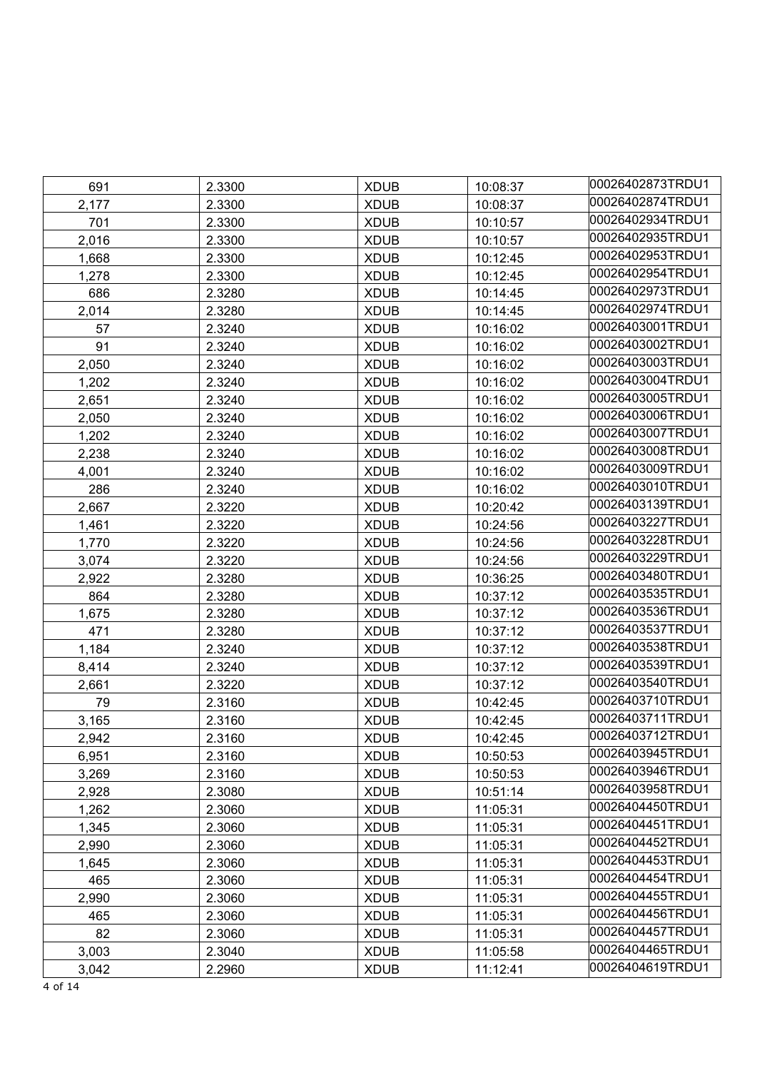| 691   | 2.3300 | <b>XDUB</b> | 10:08:37 | 00026402873TRDU1 |
|-------|--------|-------------|----------|------------------|
| 2,177 | 2.3300 | <b>XDUB</b> | 10:08:37 | 00026402874TRDU1 |
| 701   | 2.3300 | <b>XDUB</b> | 10:10:57 | 00026402934TRDU1 |
| 2,016 | 2.3300 | <b>XDUB</b> | 10:10:57 | 00026402935TRDU1 |
| 1,668 | 2.3300 | <b>XDUB</b> | 10:12:45 | 00026402953TRDU1 |
| 1,278 | 2.3300 | <b>XDUB</b> | 10:12:45 | 00026402954TRDU1 |
| 686   | 2.3280 | <b>XDUB</b> | 10:14:45 | 00026402973TRDU1 |
| 2,014 | 2.3280 | <b>XDUB</b> | 10:14:45 | 00026402974TRDU1 |
| 57    | 2.3240 | <b>XDUB</b> | 10:16:02 | 00026403001TRDU1 |
| 91    | 2.3240 | <b>XDUB</b> | 10:16:02 | 00026403002TRDU1 |
| 2,050 | 2.3240 | <b>XDUB</b> | 10:16:02 | 00026403003TRDU1 |
| 1,202 | 2.3240 | <b>XDUB</b> | 10:16:02 | 00026403004TRDU1 |
| 2,651 | 2.3240 | <b>XDUB</b> | 10:16:02 | 00026403005TRDU1 |
| 2,050 | 2.3240 | <b>XDUB</b> | 10:16:02 | 00026403006TRDU1 |
| 1,202 | 2.3240 | <b>XDUB</b> | 10:16:02 | 00026403007TRDU1 |
| 2,238 | 2.3240 | <b>XDUB</b> | 10:16:02 | 00026403008TRDU1 |
| 4,001 | 2.3240 | <b>XDUB</b> | 10:16:02 | 00026403009TRDU1 |
| 286   | 2.3240 | <b>XDUB</b> | 10:16:02 | 00026403010TRDU1 |
| 2,667 | 2.3220 | <b>XDUB</b> | 10:20:42 | 00026403139TRDU1 |
| 1,461 | 2.3220 | <b>XDUB</b> | 10:24:56 | 00026403227TRDU1 |
| 1,770 | 2.3220 | <b>XDUB</b> | 10:24:56 | 00026403228TRDU1 |
| 3,074 | 2.3220 | <b>XDUB</b> | 10:24:56 | 00026403229TRDU1 |
| 2,922 | 2.3280 | <b>XDUB</b> | 10:36:25 | 00026403480TRDU1 |
| 864   | 2.3280 | <b>XDUB</b> | 10:37:12 | 00026403535TRDU1 |
| 1,675 | 2.3280 | <b>XDUB</b> | 10:37:12 | 00026403536TRDU1 |
| 471   | 2.3280 | <b>XDUB</b> | 10:37:12 | 00026403537TRDU1 |
| 1,184 | 2.3240 | <b>XDUB</b> | 10:37:12 | 00026403538TRDU1 |
| 8,414 | 2.3240 | <b>XDUB</b> | 10:37:12 | 00026403539TRDU1 |
| 2,661 | 2.3220 | <b>XDUB</b> | 10:37:12 | 00026403540TRDU1 |
| 79    | 2.3160 | <b>XDUB</b> | 10:42:45 | 00026403710TRDU1 |
| 3,165 | 2.3160 | <b>XDUB</b> | 10:42:45 | 00026403711TRDU1 |
| 2,942 | 2.3160 | <b>XDUB</b> | 10:42:45 | 00026403712TRDU1 |
| 6,951 | 2.3160 | <b>XDUB</b> | 10:50:53 | 00026403945TRDU1 |
| 3,269 | 2.3160 | <b>XDUB</b> | 10:50:53 | 00026403946TRDU1 |
| 2,928 | 2.3080 | <b>XDUB</b> | 10:51:14 | 00026403958TRDU1 |
| 1,262 | 2.3060 | <b>XDUB</b> | 11:05:31 | 00026404450TRDU1 |
| 1,345 | 2.3060 | <b>XDUB</b> | 11:05:31 | 00026404451TRDU1 |
| 2,990 | 2.3060 | <b>XDUB</b> | 11:05:31 | 00026404452TRDU1 |
| 1,645 | 2.3060 | <b>XDUB</b> | 11:05:31 | 00026404453TRDU1 |
| 465   | 2.3060 | <b>XDUB</b> | 11:05:31 | 00026404454TRDU1 |
| 2,990 | 2.3060 | <b>XDUB</b> | 11:05:31 | 00026404455TRDU1 |
| 465   | 2.3060 | <b>XDUB</b> | 11:05:31 | 00026404456TRDU1 |
| 82    | 2.3060 | <b>XDUB</b> | 11:05:31 | 00026404457TRDU1 |
| 3,003 | 2.3040 | <b>XDUB</b> | 11:05:58 | 00026404465TRDU1 |
| 3,042 | 2.2960 | <b>XDUB</b> | 11:12:41 | 00026404619TRDU1 |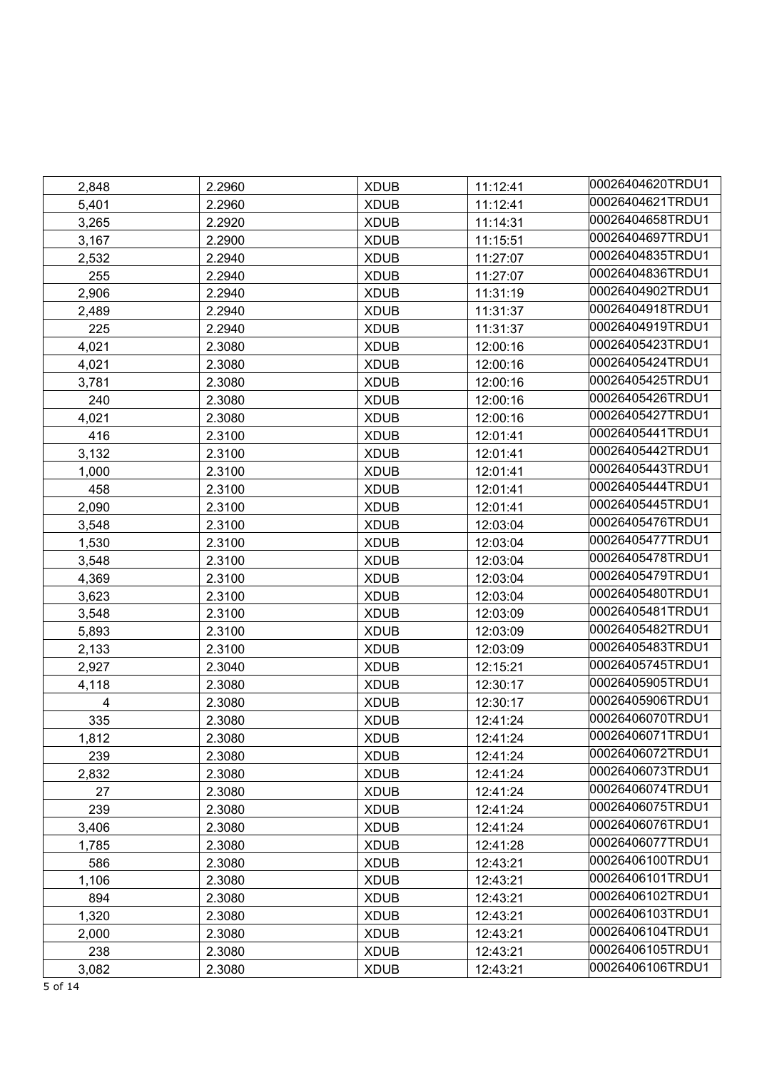| 2,848 | 2.2960 | <b>XDUB</b> | 11:12:41 | 00026404620TRDU1 |
|-------|--------|-------------|----------|------------------|
| 5,401 | 2.2960 | <b>XDUB</b> | 11:12:41 | 00026404621TRDU1 |
| 3,265 | 2.2920 | <b>XDUB</b> | 11:14:31 | 00026404658TRDU1 |
| 3,167 | 2.2900 | <b>XDUB</b> | 11:15:51 | 00026404697TRDU1 |
| 2,532 | 2.2940 | <b>XDUB</b> | 11:27:07 | 00026404835TRDU1 |
| 255   | 2.2940 | <b>XDUB</b> | 11:27:07 | 00026404836TRDU1 |
| 2,906 | 2.2940 | <b>XDUB</b> | 11:31:19 | 00026404902TRDU1 |
| 2,489 | 2.2940 | <b>XDUB</b> | 11:31:37 | 00026404918TRDU1 |
| 225   | 2.2940 | <b>XDUB</b> | 11:31:37 | 00026404919TRDU1 |
| 4,021 | 2.3080 | <b>XDUB</b> | 12:00:16 | 00026405423TRDU1 |
| 4,021 | 2.3080 | <b>XDUB</b> | 12:00:16 | 00026405424TRDU1 |
| 3,781 | 2.3080 | <b>XDUB</b> | 12:00:16 | 00026405425TRDU1 |
| 240   | 2.3080 | <b>XDUB</b> | 12:00:16 | 00026405426TRDU1 |
| 4,021 | 2.3080 | <b>XDUB</b> | 12:00:16 | 00026405427TRDU1 |
| 416   | 2.3100 | <b>XDUB</b> | 12:01:41 | 00026405441TRDU1 |
| 3,132 | 2.3100 | <b>XDUB</b> | 12:01:41 | 00026405442TRDU1 |
| 1,000 | 2.3100 | <b>XDUB</b> | 12:01:41 | 00026405443TRDU1 |
| 458   | 2.3100 | <b>XDUB</b> | 12:01:41 | 00026405444TRDU1 |
| 2,090 | 2.3100 | <b>XDUB</b> | 12:01:41 | 00026405445TRDU1 |
| 3,548 | 2.3100 | <b>XDUB</b> | 12:03:04 | 00026405476TRDU1 |
| 1,530 | 2.3100 | <b>XDUB</b> | 12:03:04 | 00026405477TRDU1 |
| 3,548 | 2.3100 | <b>XDUB</b> | 12:03:04 | 00026405478TRDU1 |
| 4,369 | 2.3100 | <b>XDUB</b> | 12:03:04 | 00026405479TRDU1 |
| 3,623 | 2.3100 | <b>XDUB</b> | 12:03:04 | 00026405480TRDU1 |
| 3,548 | 2.3100 | <b>XDUB</b> | 12:03:09 | 00026405481TRDU1 |
| 5,893 | 2.3100 | <b>XDUB</b> | 12:03:09 | 00026405482TRDU1 |
| 2,133 | 2.3100 | <b>XDUB</b> | 12:03:09 | 00026405483TRDU1 |
| 2,927 | 2.3040 | <b>XDUB</b> | 12:15:21 | 00026405745TRDU1 |
| 4,118 | 2.3080 | <b>XDUB</b> | 12:30:17 | 00026405905TRDU1 |
| 4     | 2.3080 | <b>XDUB</b> | 12:30:17 | 00026405906TRDU1 |
| 335   | 2.3080 | <b>XDUB</b> | 12:41:24 | 00026406070TRDU1 |
| 1,812 | 2.3080 | <b>XDUB</b> | 12:41:24 | 00026406071TRDU1 |
| 239   | 2.3080 | <b>XDUB</b> | 12:41:24 | 00026406072TRDU1 |
| 2,832 | 2.3080 | <b>XDUB</b> | 12:41:24 | 00026406073TRDU1 |
| 27    | 2.3080 | <b>XDUB</b> | 12:41:24 | 00026406074TRDU1 |
| 239   | 2.3080 | <b>XDUB</b> | 12:41:24 | 00026406075TRDU1 |
| 3,406 | 2.3080 | <b>XDUB</b> | 12:41:24 | 00026406076TRDU1 |
| 1,785 | 2.3080 | <b>XDUB</b> | 12:41:28 | 00026406077TRDU1 |
| 586   | 2.3080 | <b>XDUB</b> | 12:43:21 | 00026406100TRDU1 |
| 1,106 | 2.3080 | <b>XDUB</b> | 12:43:21 | 00026406101TRDU1 |
| 894   | 2.3080 | <b>XDUB</b> | 12:43:21 | 00026406102TRDU1 |
| 1,320 | 2.3080 | <b>XDUB</b> | 12:43:21 | 00026406103TRDU1 |
| 2,000 | 2.3080 | <b>XDUB</b> | 12:43:21 | 00026406104TRDU1 |
| 238   | 2.3080 | <b>XDUB</b> | 12:43:21 | 00026406105TRDU1 |
| 3,082 | 2.3080 | <b>XDUB</b> | 12:43:21 | 00026406106TRDU1 |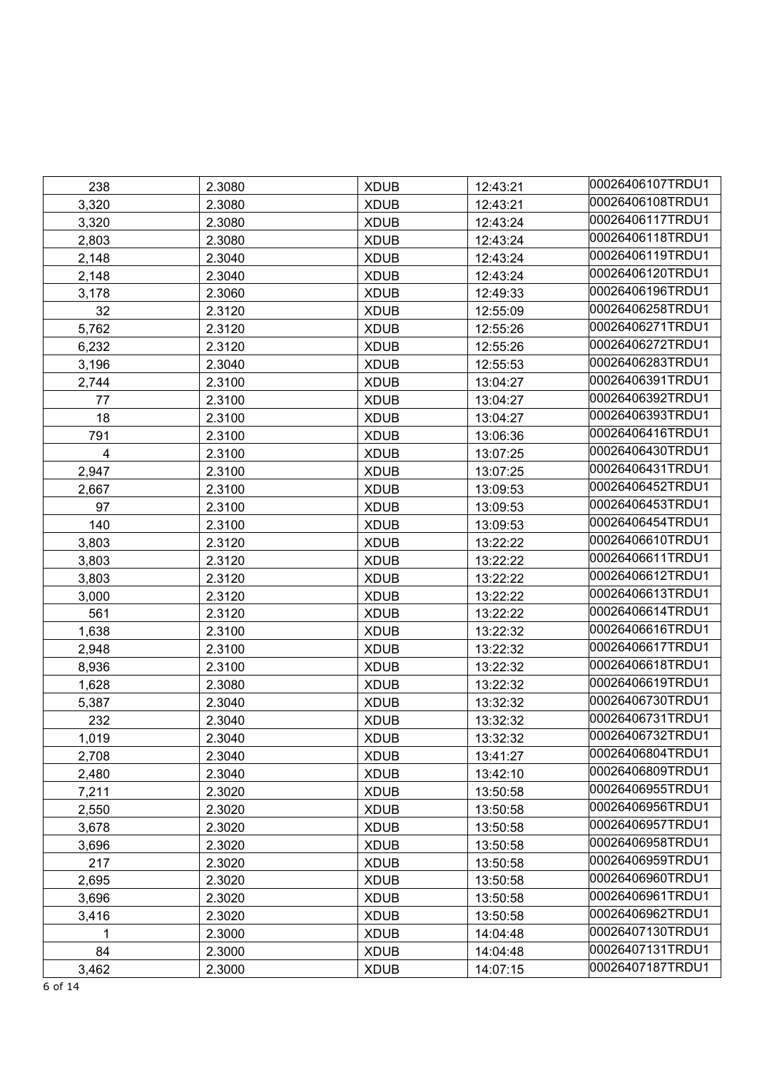| 238   | 2.3080 | <b>XDUB</b> | 12:43:21 | 00026406107TRDU1 |
|-------|--------|-------------|----------|------------------|
| 3,320 | 2.3080 | <b>XDUB</b> | 12:43:21 | 00026406108TRDU1 |
| 3,320 | 2.3080 | <b>XDUB</b> | 12:43:24 | 00026406117TRDU1 |
| 2,803 | 2.3080 | <b>XDUB</b> | 12:43:24 | 00026406118TRDU1 |
| 2,148 | 2.3040 | <b>XDUB</b> | 12:43:24 | 00026406119TRDU1 |
| 2,148 | 2.3040 | <b>XDUB</b> | 12:43:24 | 00026406120TRDU1 |
| 3,178 | 2.3060 | <b>XDUB</b> | 12:49:33 | 00026406196TRDU1 |
| 32    | 2.3120 | <b>XDUB</b> | 12:55:09 | 00026406258TRDU1 |
| 5,762 | 2.3120 | <b>XDUB</b> | 12:55:26 | 00026406271TRDU1 |
| 6,232 | 2.3120 | <b>XDUB</b> | 12:55:26 | 00026406272TRDU1 |
| 3,196 | 2.3040 | <b>XDUB</b> | 12:55:53 | 00026406283TRDU1 |
| 2,744 | 2.3100 | <b>XDUB</b> | 13:04:27 | 00026406391TRDU1 |
| 77    | 2.3100 | <b>XDUB</b> | 13:04:27 | 00026406392TRDU1 |
| 18    | 2.3100 | <b>XDUB</b> | 13:04:27 | 00026406393TRDU1 |
| 791   | 2.3100 | <b>XDUB</b> | 13:06:36 | 00026406416TRDU1 |
| 4     | 2.3100 | <b>XDUB</b> | 13:07:25 | 00026406430TRDU1 |
| 2,947 | 2.3100 | <b>XDUB</b> | 13:07:25 | 00026406431TRDU1 |
| 2,667 | 2.3100 | <b>XDUB</b> | 13:09:53 | 00026406452TRDU1 |
| 97    | 2.3100 | <b>XDUB</b> | 13:09:53 | 00026406453TRDU1 |
| 140   | 2.3100 | <b>XDUB</b> | 13:09:53 | 00026406454TRDU1 |
| 3,803 | 2.3120 | <b>XDUB</b> | 13:22:22 | 00026406610TRDU1 |
| 3,803 | 2.3120 | <b>XDUB</b> | 13:22:22 | 00026406611TRDU1 |
| 3,803 | 2.3120 | <b>XDUB</b> | 13:22:22 | 00026406612TRDU1 |
| 3,000 | 2.3120 | <b>XDUB</b> | 13:22:22 | 00026406613TRDU1 |
| 561   | 2.3120 | <b>XDUB</b> | 13:22:22 | 00026406614TRDU1 |
| 1,638 | 2.3100 | <b>XDUB</b> | 13:22:32 | 00026406616TRDU1 |
| 2,948 | 2.3100 | <b>XDUB</b> | 13:22:32 | 00026406617TRDU1 |
| 8,936 | 2.3100 | <b>XDUB</b> | 13:22:32 | 00026406618TRDU1 |
| 1,628 | 2.3080 | <b>XDUB</b> | 13:22:32 | 00026406619TRDU1 |
| 5,387 | 2.3040 | <b>XDUB</b> | 13:32:32 | 00026406730TRDU1 |
| 232   | 2.3040 | <b>XDUB</b> | 13:32:32 | 00026406731TRDU1 |
| 1,019 | 2.3040 | <b>XDUB</b> | 13:32:32 | 00026406732TRDU1 |
| 2,708 | 2.3040 | <b>XDUB</b> | 13:41:27 | 00026406804TRDU1 |
| 2,480 | 2.3040 | <b>XDUB</b> | 13:42:10 | 00026406809TRDU1 |
| 7,211 | 2.3020 | <b>XDUB</b> | 13:50:58 | 00026406955TRDU1 |
| 2,550 | 2.3020 | <b>XDUB</b> | 13:50:58 | 00026406956TRDU1 |
| 3,678 | 2.3020 | <b>XDUB</b> | 13:50:58 | 00026406957TRDU1 |
| 3,696 | 2.3020 | <b>XDUB</b> | 13:50:58 | 00026406958TRDU1 |
| 217   | 2.3020 | <b>XDUB</b> | 13:50:58 | 00026406959TRDU1 |
| 2,695 | 2.3020 | <b>XDUB</b> | 13:50:58 | 00026406960TRDU1 |
| 3,696 | 2.3020 | <b>XDUB</b> | 13:50:58 | 00026406961TRDU1 |
| 3,416 | 2.3020 | <b>XDUB</b> | 13:50:58 | 00026406962TRDU1 |
| 1     | 2.3000 | <b>XDUB</b> | 14:04:48 | 00026407130TRDU1 |
| 84    | 2.3000 | <b>XDUB</b> | 14:04:48 | 00026407131TRDU1 |
| 3,462 | 2.3000 | <b>XDUB</b> | 14:07:15 | 00026407187TRDU1 |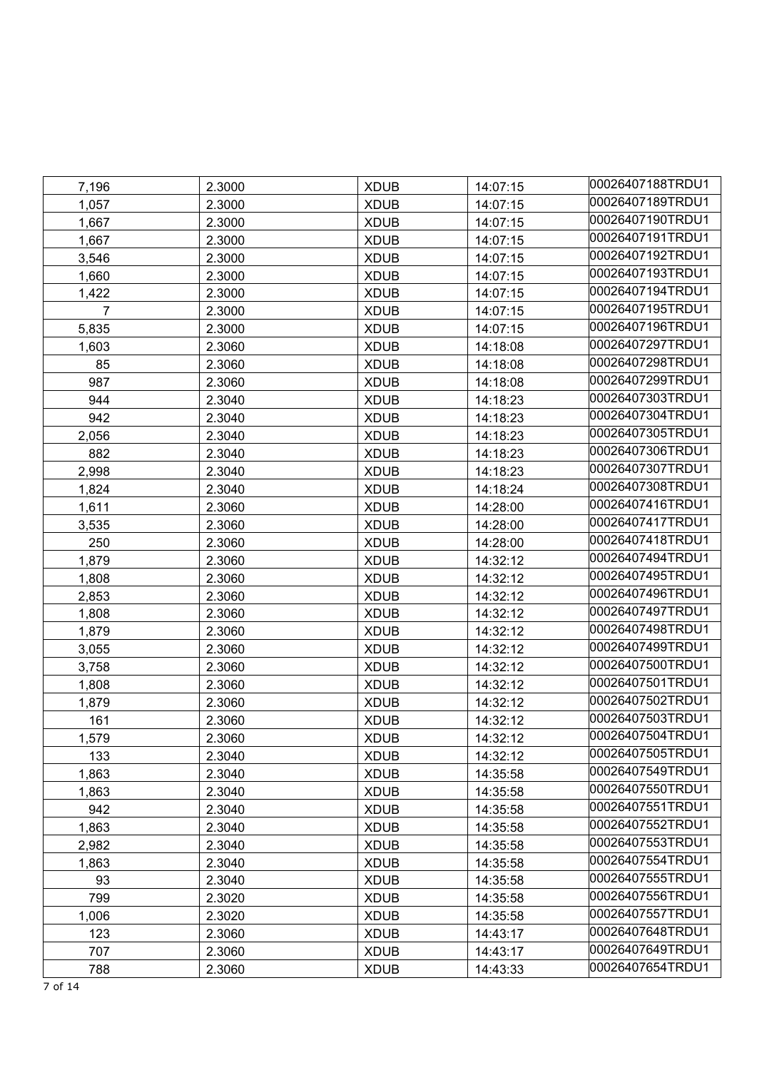| 7,196        | 2.3000           | <b>XDUB</b>                | 14:07:15             | 00026407188TRDU1 |
|--------------|------------------|----------------------------|----------------------|------------------|
| 1,057        | 2.3000           | <b>XDUB</b>                | 14:07:15             | 00026407189TRDU1 |
| 1,667        | 2.3000           | <b>XDUB</b>                | 14:07:15             | 00026407190TRDU1 |
| 1,667        | 2.3000           | <b>XDUB</b>                | 14:07:15             | 00026407191TRDU1 |
| 3,546        | 2.3000           | <b>XDUB</b>                | 14:07:15             | 00026407192TRDU1 |
| 1,660        | 2.3000           | <b>XDUB</b>                | 14:07:15             | 00026407193TRDU1 |
| 1,422        | 2.3000           | <b>XDUB</b>                | 14:07:15             | 00026407194TRDU1 |
| 7            | 2.3000           | <b>XDUB</b>                | 14:07:15             | 00026407195TRDU1 |
| 5,835        | 2.3000           | <b>XDUB</b>                | 14:07:15             | 00026407196TRDU1 |
| 1,603        | 2.3060           | <b>XDUB</b>                | 14:18:08             | 00026407297TRDU1 |
| 85           | 2.3060           | <b>XDUB</b>                | 14:18:08             | 00026407298TRDU1 |
| 987          | 2.3060           | <b>XDUB</b>                | 14:18:08             | 00026407299TRDU1 |
| 944          | 2.3040           | <b>XDUB</b>                | 14:18:23             | 00026407303TRDU1 |
| 942          | 2.3040           | <b>XDUB</b>                | 14:18:23             | 00026407304TRDU1 |
| 2,056        | 2.3040           | <b>XDUB</b>                | 14:18:23             | 00026407305TRDU1 |
| 882          | 2.3040           | <b>XDUB</b>                | 14:18:23             | 00026407306TRDU1 |
| 2,998        | 2.3040           | <b>XDUB</b>                | 14:18:23             | 00026407307TRDU1 |
| 1,824        | 2.3040           | <b>XDUB</b>                | 14:18:24             | 00026407308TRDU1 |
| 1,611        | 2.3060           | <b>XDUB</b>                | 14:28:00             | 00026407416TRDU1 |
| 3,535        | 2.3060           | <b>XDUB</b>                | 14:28:00             | 00026407417TRDU1 |
| 250          | 2.3060           | <b>XDUB</b>                | 14:28:00             | 00026407418TRDU1 |
| 1,879        | 2.3060           | <b>XDUB</b>                | 14:32:12             | 00026407494TRDU1 |
| 1,808        | 2.3060           | <b>XDUB</b>                | 14:32:12             | 00026407495TRDU1 |
| 2,853        | 2.3060           | <b>XDUB</b>                | 14:32:12             | 00026407496TRDU1 |
| 1,808        | 2.3060           | <b>XDUB</b>                | 14:32:12             | 00026407497TRDU1 |
| 1,879        | 2.3060           | <b>XDUB</b>                | 14:32:12             | 00026407498TRDU1 |
| 3,055        | 2.3060           | <b>XDUB</b>                | 14:32:12             | 00026407499TRDU1 |
| 3,758        | 2.3060           | <b>XDUB</b>                | 14:32:12             | 00026407500TRDU1 |
| 1,808        | 2.3060           | <b>XDUB</b>                | 14:32:12             | 00026407501TRDU1 |
| 1,879        | 2.3060           | <b>XDUB</b>                | 14:32:12             | 00026407502TRDU1 |
| 161          | 2.3060           | <b>XDUB</b>                | 14:32:12             | 00026407503TRDU1 |
| 1,579        | 2.3060           | <b>XDUB</b>                | 14:32:12             | 00026407504TRDU1 |
| 133          | 2.3040           | <b>XDUB</b>                | 14:32:12             | 00026407505TRDU1 |
| 1,863        | 2.3040           | <b>XDUB</b>                | 14:35:58             | 00026407549TRDU1 |
| 1,863        |                  | <b>XDUB</b>                | 14:35:58             | 00026407550TRDU1 |
| 942          | 2.3040<br>2.3040 | <b>XDUB</b>                | 14:35:58             | 00026407551TRDU1 |
| 1,863        | 2.3040           | <b>XDUB</b>                | 14:35:58             | 00026407552TRDU1 |
| 2,982        | 2.3040           |                            |                      | 00026407553TRDU1 |
|              | 2.3040           | <b>XDUB</b><br><b>XDUB</b> | 14:35:58<br>14:35:58 | 00026407554TRDU1 |
| 1,863<br>93  | 2.3040           |                            |                      | 00026407555TRDU1 |
|              |                  | <b>XDUB</b>                | 14:35:58             | 00026407556TRDU1 |
| 799          | 2.3020<br>2.3020 | <b>XDUB</b>                | 14:35:58             | 00026407557TRDU1 |
| 1,006<br>123 |                  | <b>XDUB</b>                | 14:35:58             | 00026407648TRDU1 |
|              | 2.3060           | <b>XDUB</b>                | 14:43:17             | 00026407649TRDU1 |
| 707          | 2.3060           | <b>XDUB</b>                | 14:43:17             | 00026407654TRDU1 |
| 788          | 2.3060           | <b>XDUB</b>                | 14:43:33             |                  |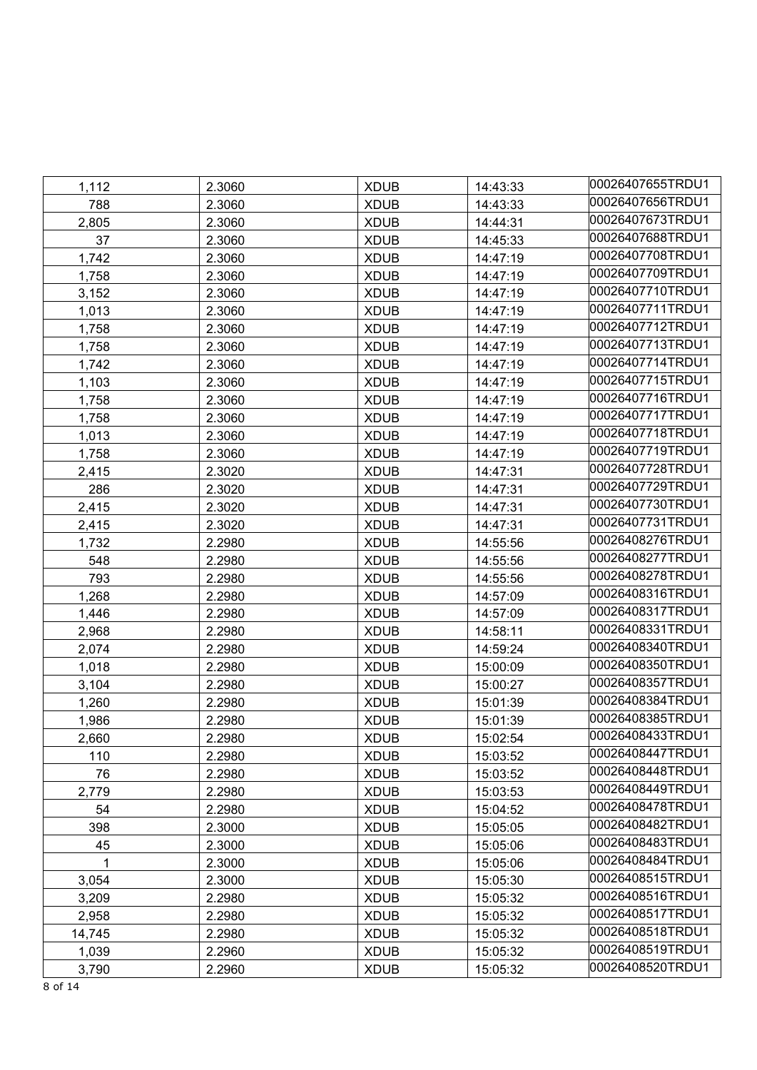| 1,112  | 2.3060 | <b>XDUB</b> | 14:43:33 | 00026407655TRDU1 |
|--------|--------|-------------|----------|------------------|
| 788    | 2.3060 | <b>XDUB</b> | 14:43:33 | 00026407656TRDU1 |
| 2,805  | 2.3060 | <b>XDUB</b> | 14:44:31 | 00026407673TRDU1 |
| 37     | 2.3060 | <b>XDUB</b> | 14:45:33 | 00026407688TRDU1 |
| 1,742  | 2.3060 | <b>XDUB</b> | 14:47:19 | 00026407708TRDU1 |
| 1,758  | 2.3060 | <b>XDUB</b> | 14:47:19 | 00026407709TRDU1 |
| 3,152  | 2.3060 | <b>XDUB</b> | 14:47:19 | 00026407710TRDU1 |
| 1,013  | 2.3060 | <b>XDUB</b> | 14:47:19 | 00026407711TRDU1 |
| 1,758  | 2.3060 | <b>XDUB</b> | 14:47:19 | 00026407712TRDU1 |
| 1,758  | 2.3060 | <b>XDUB</b> | 14:47:19 | 00026407713TRDU1 |
| 1,742  | 2.3060 | <b>XDUB</b> | 14:47:19 | 00026407714TRDU1 |
| 1,103  | 2.3060 | <b>XDUB</b> | 14:47:19 | 00026407715TRDU1 |
| 1,758  | 2.3060 | <b>XDUB</b> | 14:47:19 | 00026407716TRDU1 |
| 1,758  | 2.3060 | <b>XDUB</b> | 14:47:19 | 00026407717TRDU1 |
| 1,013  | 2.3060 | <b>XDUB</b> | 14:47:19 | 00026407718TRDU1 |
| 1,758  | 2.3060 | <b>XDUB</b> | 14:47:19 | 00026407719TRDU1 |
| 2,415  | 2.3020 | <b>XDUB</b> | 14:47:31 | 00026407728TRDU1 |
| 286    | 2.3020 | <b>XDUB</b> | 14:47:31 | 00026407729TRDU1 |
| 2,415  | 2.3020 | <b>XDUB</b> | 14:47:31 | 00026407730TRDU1 |
| 2,415  | 2.3020 | <b>XDUB</b> | 14:47:31 | 00026407731TRDU1 |
| 1,732  | 2.2980 | <b>XDUB</b> | 14:55:56 | 00026408276TRDU1 |
| 548    | 2.2980 | <b>XDUB</b> | 14:55:56 | 00026408277TRDU1 |
| 793    | 2.2980 | <b>XDUB</b> | 14:55:56 | 00026408278TRDU1 |
| 1,268  | 2.2980 | <b>XDUB</b> | 14:57:09 | 00026408316TRDU1 |
| 1,446  | 2.2980 | <b>XDUB</b> | 14:57:09 | 00026408317TRDU1 |
| 2,968  | 2.2980 | <b>XDUB</b> | 14:58:11 | 00026408331TRDU1 |
| 2,074  | 2.2980 | <b>XDUB</b> | 14:59:24 | 00026408340TRDU1 |
| 1,018  | 2.2980 | <b>XDUB</b> | 15:00:09 | 00026408350TRDU1 |
| 3,104  | 2.2980 | <b>XDUB</b> | 15:00:27 | 00026408357TRDU1 |
| 1,260  | 2.2980 | <b>XDUB</b> | 15:01:39 | 00026408384TRDU1 |
| 1,986  | 2.2980 | <b>XDUB</b> | 15:01:39 | 00026408385TRDU1 |
| 2,660  | 2.2980 | <b>XDUB</b> | 15:02:54 | 00026408433TRDU1 |
| 110    | 2.2980 | <b>XDUB</b> | 15:03:52 | 00026408447TRDU1 |
| 76     | 2.2980 | <b>XDUB</b> | 15:03:52 | 00026408448TRDU1 |
| 2,779  | 2.2980 | <b>XDUB</b> | 15:03:53 | 00026408449TRDU1 |
| 54     | 2.2980 | <b>XDUB</b> | 15:04:52 | 00026408478TRDU1 |
| 398    | 2.3000 | <b>XDUB</b> | 15:05:05 | 00026408482TRDU1 |
| 45     | 2.3000 | <b>XDUB</b> | 15:05:06 | 00026408483TRDU1 |
|        | 2.3000 | <b>XDUB</b> | 15:05:06 | 00026408484TRDU1 |
| 3,054  | 2.3000 | <b>XDUB</b> | 15:05:30 | 00026408515TRDU1 |
| 3,209  | 2.2980 | <b>XDUB</b> | 15:05:32 | 00026408516TRDU1 |
| 2,958  | 2.2980 | <b>XDUB</b> | 15:05:32 | 00026408517TRDU1 |
| 14,745 | 2.2980 | <b>XDUB</b> | 15:05:32 | 00026408518TRDU1 |
| 1,039  | 2.2960 | <b>XDUB</b> | 15:05:32 | 00026408519TRDU1 |
| 3,790  | 2.2960 | <b>XDUB</b> | 15:05:32 | 00026408520TRDU1 |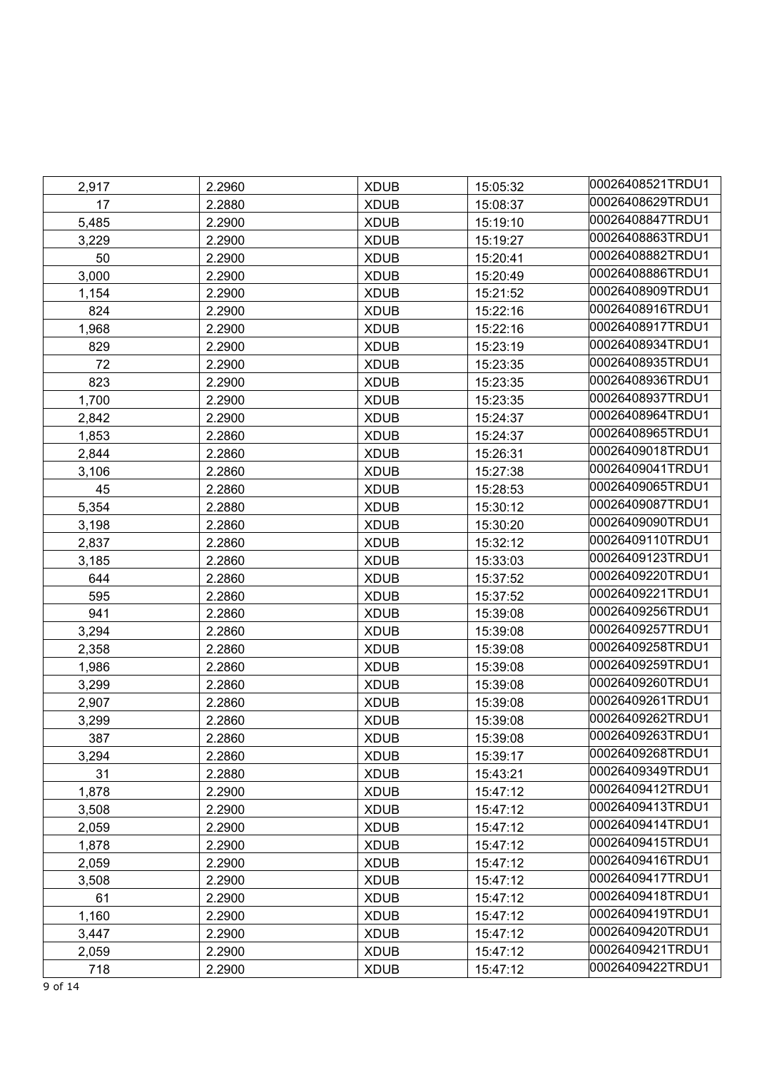| 2,917 | 2.2960 | <b>XDUB</b> | 15:05:32 | 00026408521TRDU1 |
|-------|--------|-------------|----------|------------------|
| 17    | 2.2880 | <b>XDUB</b> | 15:08:37 | 00026408629TRDU1 |
| 5,485 | 2.2900 | <b>XDUB</b> | 15:19:10 | 00026408847TRDU1 |
| 3,229 | 2.2900 | <b>XDUB</b> | 15:19:27 | 00026408863TRDU1 |
| 50    | 2.2900 | <b>XDUB</b> | 15:20:41 | 00026408882TRDU1 |
| 3,000 | 2.2900 | <b>XDUB</b> | 15:20:49 | 00026408886TRDU1 |
| 1,154 | 2.2900 | <b>XDUB</b> | 15:21:52 | 00026408909TRDU1 |
| 824   | 2.2900 | <b>XDUB</b> | 15:22:16 | 00026408916TRDU1 |
| 1,968 | 2.2900 | <b>XDUB</b> | 15:22:16 | 00026408917TRDU1 |
| 829   | 2.2900 | <b>XDUB</b> | 15:23:19 | 00026408934TRDU1 |
| 72    | 2.2900 | <b>XDUB</b> | 15:23:35 | 00026408935TRDU1 |
| 823   | 2.2900 | <b>XDUB</b> | 15:23:35 | 00026408936TRDU1 |
| 1,700 | 2.2900 | <b>XDUB</b> | 15:23:35 | 00026408937TRDU1 |
| 2,842 | 2.2900 | <b>XDUB</b> | 15:24:37 | 00026408964TRDU1 |
| 1,853 | 2.2860 | <b>XDUB</b> | 15:24:37 | 00026408965TRDU1 |
| 2,844 | 2.2860 | <b>XDUB</b> | 15:26:31 | 00026409018TRDU1 |
| 3,106 | 2.2860 | <b>XDUB</b> | 15:27:38 | 00026409041TRDU1 |
| 45    | 2.2860 | <b>XDUB</b> | 15:28:53 | 00026409065TRDU1 |
| 5,354 | 2.2880 | <b>XDUB</b> | 15:30:12 | 00026409087TRDU1 |
| 3,198 | 2.2860 | <b>XDUB</b> | 15:30:20 | 00026409090TRDU1 |
| 2,837 | 2.2860 | <b>XDUB</b> | 15:32:12 | 00026409110TRDU1 |
| 3,185 | 2.2860 | <b>XDUB</b> | 15:33:03 | 00026409123TRDU1 |
| 644   | 2.2860 | <b>XDUB</b> | 15:37:52 | 00026409220TRDU1 |
| 595   | 2.2860 | <b>XDUB</b> | 15:37:52 | 00026409221TRDU1 |
| 941   | 2.2860 | <b>XDUB</b> | 15:39:08 | 00026409256TRDU1 |
| 3,294 | 2.2860 | <b>XDUB</b> | 15:39:08 | 00026409257TRDU1 |
| 2,358 | 2.2860 | <b>XDUB</b> | 15:39:08 | 00026409258TRDU1 |
| 1,986 | 2.2860 | <b>XDUB</b> | 15:39:08 | 00026409259TRDU1 |
| 3,299 | 2.2860 | <b>XDUB</b> | 15:39:08 | 00026409260TRDU1 |
| 2,907 | 2.2860 | <b>XDUB</b> | 15:39:08 | 00026409261TRDU1 |
| 3,299 | 2.2860 | <b>XDUB</b> | 15:39:08 | 00026409262TRDU1 |
| 387   | 2.2860 | <b>XDUB</b> | 15:39:08 | 00026409263TRDU1 |
| 3,294 | 2.2860 | <b>XDUB</b> | 15:39:17 | 00026409268TRDU1 |
| 31    | 2.2880 | <b>XDUB</b> | 15:43:21 | 00026409349TRDU1 |
| 1,878 | 2.2900 | <b>XDUB</b> | 15:47:12 | 00026409412TRDU1 |
| 3,508 | 2.2900 | <b>XDUB</b> | 15:47:12 | 00026409413TRDU1 |
| 2,059 | 2.2900 | <b>XDUB</b> | 15:47:12 | 00026409414TRDU1 |
| 1,878 | 2.2900 | <b>XDUB</b> | 15:47:12 | 00026409415TRDU1 |
| 2,059 | 2.2900 | <b>XDUB</b> | 15:47:12 | 00026409416TRDU1 |
| 3,508 | 2.2900 | <b>XDUB</b> | 15:47:12 | 00026409417TRDU1 |
| 61    | 2.2900 | <b>XDUB</b> | 15:47:12 | 00026409418TRDU1 |
| 1,160 | 2.2900 | <b>XDUB</b> | 15:47:12 | 00026409419TRDU1 |
| 3,447 | 2.2900 | <b>XDUB</b> | 15:47:12 | 00026409420TRDU1 |
| 2,059 | 2.2900 | <b>XDUB</b> | 15:47:12 | 00026409421TRDU1 |
| 718   | 2.2900 | <b>XDUB</b> | 15:47:12 | 00026409422TRDU1 |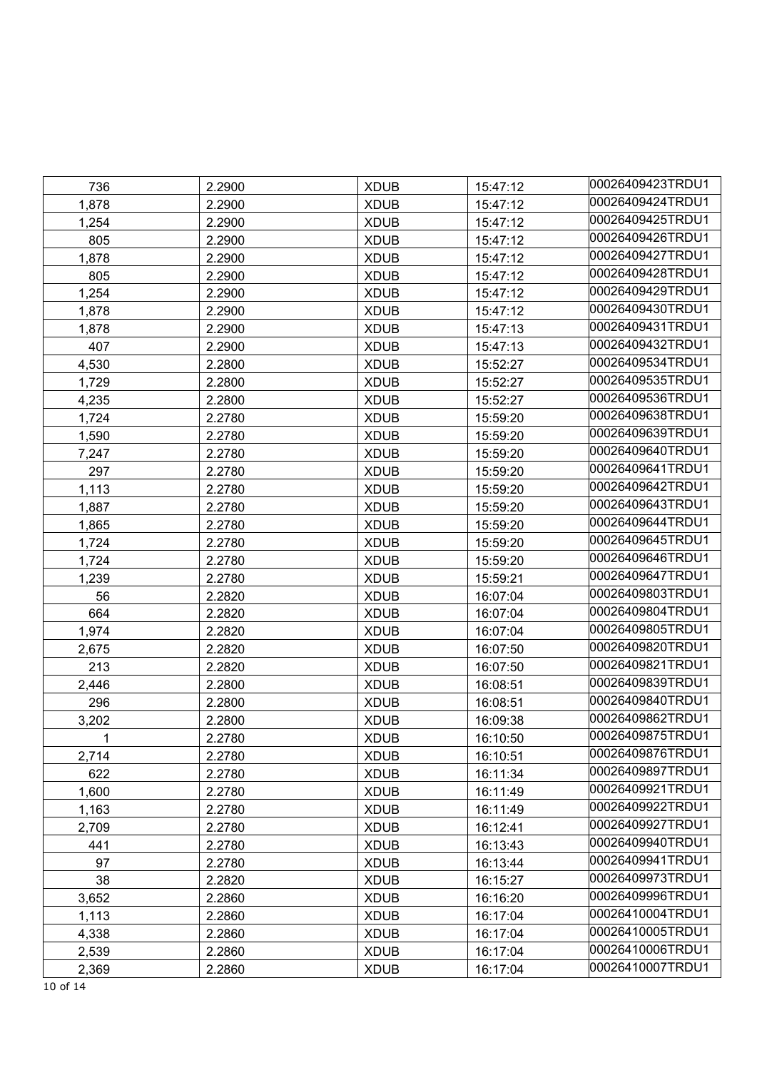| 736   | 2.2900 | <b>XDUB</b> | 15:47:12 | 00026409423TRDU1 |
|-------|--------|-------------|----------|------------------|
| 1,878 | 2.2900 | <b>XDUB</b> | 15:47:12 | 00026409424TRDU1 |
| 1,254 | 2.2900 | <b>XDUB</b> | 15:47:12 | 00026409425TRDU1 |
| 805   | 2.2900 | <b>XDUB</b> | 15:47:12 | 00026409426TRDU1 |
| 1,878 | 2.2900 | <b>XDUB</b> | 15:47:12 | 00026409427TRDU1 |
| 805   | 2.2900 | <b>XDUB</b> | 15:47:12 | 00026409428TRDU1 |
| 1,254 | 2.2900 | <b>XDUB</b> | 15:47:12 | 00026409429TRDU1 |
| 1,878 | 2.2900 | <b>XDUB</b> | 15:47:12 | 00026409430TRDU1 |
| 1,878 | 2.2900 | <b>XDUB</b> | 15:47:13 | 00026409431TRDU1 |
| 407   | 2.2900 | <b>XDUB</b> | 15:47:13 | 00026409432TRDU1 |
| 4,530 | 2.2800 | <b>XDUB</b> | 15:52:27 | 00026409534TRDU1 |
| 1,729 | 2.2800 | <b>XDUB</b> | 15:52:27 | 00026409535TRDU1 |
| 4,235 | 2.2800 | <b>XDUB</b> | 15:52:27 | 00026409536TRDU1 |
| 1,724 | 2.2780 | <b>XDUB</b> | 15:59:20 | 00026409638TRDU1 |
| 1,590 | 2.2780 | <b>XDUB</b> | 15:59:20 | 00026409639TRDU1 |
| 7,247 | 2.2780 | <b>XDUB</b> | 15:59:20 | 00026409640TRDU1 |
| 297   | 2.2780 | <b>XDUB</b> | 15:59:20 | 00026409641TRDU1 |
| 1,113 | 2.2780 | <b>XDUB</b> | 15:59:20 | 00026409642TRDU1 |
| 1,887 | 2.2780 | <b>XDUB</b> | 15:59:20 | 00026409643TRDU1 |
| 1,865 | 2.2780 | <b>XDUB</b> | 15:59:20 | 00026409644TRDU1 |
| 1,724 | 2.2780 | <b>XDUB</b> | 15:59:20 | 00026409645TRDU1 |
| 1,724 | 2.2780 | <b>XDUB</b> | 15:59:20 | 00026409646TRDU1 |
| 1,239 | 2.2780 | <b>XDUB</b> | 15:59:21 | 00026409647TRDU1 |
| 56    | 2.2820 | <b>XDUB</b> | 16:07:04 | 00026409803TRDU1 |
| 664   | 2.2820 | <b>XDUB</b> | 16:07:04 | 00026409804TRDU1 |
| 1,974 | 2.2820 | <b>XDUB</b> | 16:07:04 | 00026409805TRDU1 |
| 2,675 | 2.2820 | <b>XDUB</b> | 16:07:50 | 00026409820TRDU1 |
| 213   | 2.2820 | <b>XDUB</b> | 16:07:50 | 00026409821TRDU1 |
| 2,446 | 2.2800 | <b>XDUB</b> | 16:08:51 | 00026409839TRDU1 |
| 296   | 2.2800 | <b>XDUB</b> | 16:08:51 | 00026409840TRDU1 |
| 3,202 | 2.2800 | <b>XDUB</b> | 16:09:38 | 00026409862TRDU1 |
|       | 2.2780 | <b>XDUB</b> | 16:10:50 | 00026409875TRDU1 |
| 2,714 | 2.2780 | <b>XDUB</b> | 16:10:51 | 00026409876TRDU1 |
| 622   | 2.2780 | <b>XDUB</b> | 16:11:34 | 00026409897TRDU1 |
| 1,600 | 2.2780 | <b>XDUB</b> | 16:11:49 | 00026409921TRDU1 |
| 1,163 | 2.2780 | <b>XDUB</b> | 16:11:49 | 00026409922TRDU1 |
| 2,709 | 2.2780 | <b>XDUB</b> | 16:12:41 | 00026409927TRDU1 |
| 441   | 2.2780 | <b>XDUB</b> | 16:13:43 | 00026409940TRDU1 |
| 97    | 2.2780 | <b>XDUB</b> | 16:13:44 | 00026409941TRDU1 |
| 38    | 2.2820 | <b>XDUB</b> | 16:15:27 | 00026409973TRDU1 |
| 3,652 | 2.2860 | <b>XDUB</b> | 16:16:20 | 00026409996TRDU1 |
| 1,113 | 2.2860 | <b>XDUB</b> | 16:17:04 | 00026410004TRDU1 |
| 4,338 | 2.2860 | <b>XDUB</b> | 16:17:04 | 00026410005TRDU1 |
| 2,539 | 2.2860 | <b>XDUB</b> | 16:17:04 | 00026410006TRDU1 |
| 2,369 | 2.2860 | <b>XDUB</b> | 16:17:04 | 00026410007TRDU1 |